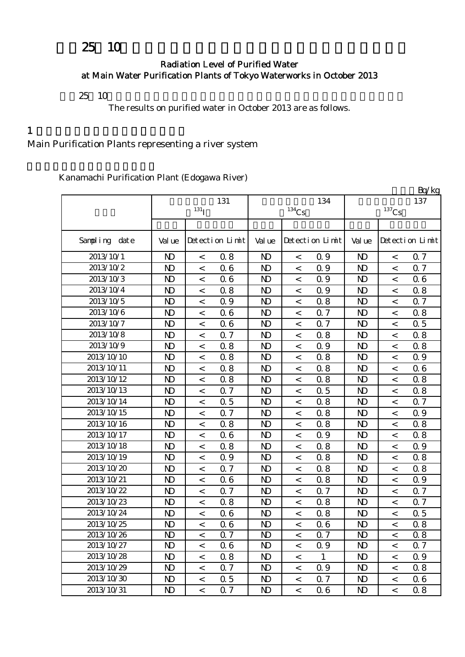# 25 10

#### Radiation Level of Purified Water at Main Water Purification Plants of Tokyo Waterworks in October 2013

 $25 \t10$ 

The results on purified water in October 2013 are as follows.

### $1$

Main Purification Plants representing a river system

Kanamachi Purification Plant (Edogawa River)

|               |                |                          |                 |                |                     |                 |                |                     | Bq/kg           |
|---------------|----------------|--------------------------|-----------------|----------------|---------------------|-----------------|----------------|---------------------|-----------------|
|               |                |                          | 131             |                |                     | 134             |                |                     | 137             |
|               |                | $131$ <sup>T</sup>       |                 |                | $^{134}\mathrm{Cs}$ |                 |                | $^{137}\mathrm{Cs}$ |                 |
|               |                |                          |                 |                |                     |                 |                |                     |                 |
| Sampling date | Val ue         |                          | Detection Limit | Val ue         |                     | Detection Limit | Val ue         |                     | Detection Limit |
| 2013/10/1     | $\mathbf{D}$   | $\,<$                    | 0.8             | N <sub>D</sub> | $\,<$               | 0.9             | $\mathbf{D}$   | $\prec$             | 0.7             |
| 2013/10/2     | $\mathbf{D}$   | $\,<\,$                  | 06              | $\mathbf{D}$   | $\,<$               | 0.9             | $\mathbf{D}$   | $\,<$               | 0.7             |
| 2013/10/3     | $\mathbf{D}$   | $\,<\,$                  | 06              | $\mathbf{D}$   | $\,<$               | 0.9             | $\mathbf{D}$   | $\,<$               | 06              |
| 2013/10/4     | $\mathbf{D}$   | $\,<$                    | 0.8             | N <sub>D</sub> | $\,<$               | 0.9             | N <sub>D</sub> | $\,<$               | 0.8             |
| 2013/10/5     | N <sub>D</sub> | $\overline{\phantom{a}}$ | 0.9             | N <sub>D</sub> | $\,<$               | 0.8             | $\mathbf{D}$   | $\overline{a}$      | 0.7             |
| 2013/10/6     | N <sub>D</sub> | $\,<\,$                  | 06              | N <sub>D</sub> | $\,<$               | 0.7             | N <sub>D</sub> | $\,<$               | 0.8             |
| 2013/10/7     | $\mathbf{D}$   | $\,<\,$                  | 06              | $\mathbf{D}$   | $\,<\,$             | 0.7             | $\mathbf{D}$   | $\,<$               | 0.5             |
| 2013/10/8     | N <sub>D</sub> | $\,<$                    | 0.7             | N <sub>D</sub> | $\,<$               | 0.8             | $\mathbf{D}$   | $\,<$               | 0.8             |
| 2013/10/9     | $\mathbf{D}$   | $\,<\,$                  | 0.8             | N <sub>D</sub> | $\,<\,$             | 0.9             | $\mathbf{D}$   | $\lt$               | 0.8             |
| 2013/10/10    | $\mathbf{D}$   | $\,<$                    | 0.8             | N <sub>D</sub> | $\,<\,$             | 0.8             | $\mathbf{D}$   | $\prec$             | 0.9             |
| 2013/10/11    | $\mathbf{D}$   | $\,<$                    | 0.8             | N <sub>D</sub> | $\,<$               | 0.8             | $\mathbf{D}$   | $\,<$               | 06              |
| 2013/10/12    | $\mathbf{D}$   | $\,<\,$                  | 0.8             | N <sub>D</sub> | $\,<$               | 0.8             | $\mathbf{D}$   | $\,<$               | 0.8             |
| 2013/10/13    | N <sub>D</sub> | $\,<\,$                  | 0.7             | N <sub>D</sub> | $\,<\,$             | 0.5             | $\mathbf{D}$   | $\prec$             | 0.8             |
| 2013/10/14    | N <sub>D</sub> | $\,<\,$                  | 0.5             | N <sub>D</sub> | $\,<$               | 0.8             | $\mathbf{D}$   | $\,<$               | 0.7             |
| 2013/10/15    | $\mathbf{D}$   | $\,<\,$                  | 0.7             | $\mathbf{D}$   | $\,<$               | 0.8             | $\mathbf{D}$   | $\,<$               | 0.9             |
| 2013/10/16    | $\mathbf{D}$   | $\,<\,$                  | 0.8             | N <sub>D</sub> | $\,<$               | 0.8             | $\mathbf{D}$   | $\,<$               | 0.8             |
| 2013/10/17    | $\mathbf{D}$   | $\,<\,$                  | 06              | $\mathbf{D}$   | $\,<\,$             | 0.9             | $\mathbf{D}$   | $\,<$               | 0.8             |
| 2013/10/18    | N <sub>D</sub> | $\prec$                  | 0.8             | N <sub>D</sub> | $\,<$               | 0.8             | $\mathbf{D}$   | $\,<$               | 0.9             |
| 2013/10/19    | N <sub>D</sub> | $\,<$                    | 0.9             | N <sub>D</sub> | $\,<$               | 0.8             | $\mathbf{D}$   | $\,<$               | 0.8             |
| 2013/10/20    | $\mathbf{D}$   | $\,<\,$                  | 0.7             | $\mathbf{D}$   | $\,<$               | 0.8             | $\mathbf{D}$   | $\,<$               | 0.8             |
| 2013/10/21    | $\mathbf{D}$   | $\,<\,$                  | 06              | N <sub>D</sub> | $\,<$               | 0.8             | $\mathbf{D}$   | $\,<$               | 0.9             |
| 2013/10/22    | $\mathbf{D}$   | $\,<\,$                  | 0.7             | N <sub>D</sub> | $\,<\,$             | 0.7             | $\mathbf{D}$   | $\prec$             | 0.7             |
| 2013/10/23    | N <sub>D</sub> | $\,<\,$                  | 0.8             | $\mathbf{D}$   | $\,<$               | 0.8             | $\mathbf{D}$   | $\,<$               | 0.7             |
| 2013/10/24    | $\mathbf{D}$   | $\,<\,$                  | 06              | $\mathbf{D}$   | $\,<$               | 0.8             | $\mathbf{D}$   | $\,<$               | 0.5             |
| 2013/10/25    | N <sub>D</sub> | $\,<\,$                  | 06              | N <sub>D</sub> | $\,<$               | 0.6             | N <sub>D</sub> | $\,<$               | 0.8             |
| 2013/10/26    | $\mathbf{D}$   | $\,<$                    | $0.7\,$         | $\mathbf{D}$   | $\,<$               | $0.7\,$         | $\mathbf{N}$   | $\,<$               | $0\,8$          |
| 2013/10/27    | N <sub>D</sub> | $\,<\,$                  | 06              | N <sub>D</sub> | $\,<\,$             | 0.9             | N <sub>D</sub> | $\,<\,$             | 0.7             |
| 2013/10/28    | $\mathbf{D}$   | $\,<\,$                  | 0.8             | N <sub>D</sub> | $\,<\,$             | $\mathbf{1}$    | ND.            | $\,<$               | 0.9             |
| 2013/10/29    | $\mathbf{D}$   | $\,<$                    | 0.7             | N <sub>D</sub> | $\,<$               | 0.9             | ND.            | $\,<$               | 0.8             |
| 2013/10/30    | $\mathbf{D}$   | $\,<\,$                  | 0.5             | N <sub>D</sub> | $\,<\,$             | 0.7             | N <sub>D</sub> | $\,<$               | 06              |
| 2013/10/31    | $\mathbf{D}$   | $\overline{\phantom{0}}$ | 0.7             | $\mathbf{D}$   | $\,<$               | 06              | N <sub>D</sub> | $\lt$               | 0.8             |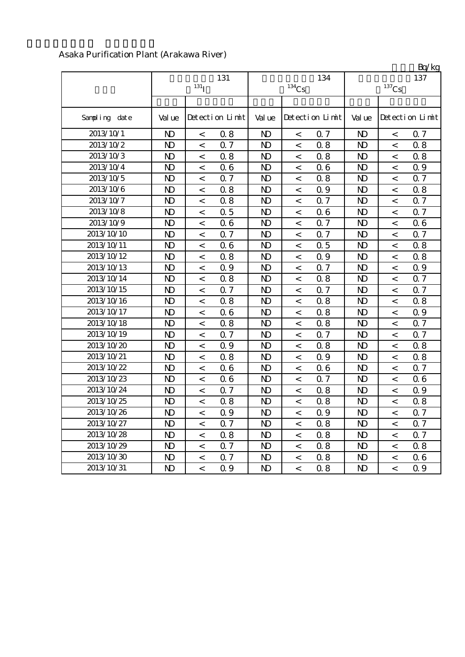|               |                |                    |                 |                |                          |                 |                |                     | Bq/kg           |
|---------------|----------------|--------------------|-----------------|----------------|--------------------------|-----------------|----------------|---------------------|-----------------|
|               |                | $131$ <sup>T</sup> | 131             |                |                          | 134             |                |                     | 137             |
|               |                |                    |                 |                | $^{134}\mathrm{Cs}$      |                 |                | $^{137}\mathrm{Cs}$ |                 |
| Sampling date | Val ue         |                    | Detection Limit | Val ue         |                          | Detection Limit | Val ue         |                     | Detection Limit |
| 2013/10/1     | N <sub>D</sub> | $\,<\,$            | 0.8             | N <sub>D</sub> | $\,<\,$                  | 0.7             | N <sub>D</sub> | $\,<\,$             | 0.7             |
| 2013/10/2     | N <sub>D</sub> | $\,<$              | 0.7             | N <sub>D</sub> | $\,<\,$                  | 0.8             | N <sub>D</sub> | $\,<\,$             | 0.8             |
| 2013/10/3     | $\mathbf{D}$   | $\,<$              | 0.8             | $\mathbf{D}$   | $\,<\,$                  | 0.8             | $\mathbf{D}$   | $\,<$               | 0.8             |
| 2013/10/4     | $\mathbf{D}$   | $\,<$              | 06              | N <sub>D</sub> | $\,<\,$                  | 0.6             | $\mathbf{D}$   | $\,<$               | 0.9             |
| 2013/10/5     | N <sub>D</sub> | $\,<$              | 0.7             | N <sub>D</sub> | $\,<\,$                  | 0.8             | N <sub>D</sub> | $\lt$               | 0.7             |
| 2013/10/6     | $\mathbf{D}$   | $\,<$              | 0.8             | N <sub>D</sub> | $\,<\,$                  | 0.9             | N <sub>D</sub> | $\,<$               | 0.8             |
| 2013/10/7     | $\mathbf{D}$   | $\,<$              | 0.8             | N <sub>D</sub> | $\,<$                    | 0.7             | N <sub>D</sub> | $\,<$               | Q 7             |
| 2013/10/8     | $\mathbf{D}$   | $\,<\,$            | 0.5             | N <sub>D</sub> | $\,<\,$                  | 0.6             | N <sub>D</sub> | $\,<$               | 0.7             |
| 2013/10/9     | N <sub>D</sub> | $\prec$            | 06              | N <sub>D</sub> | $\,<\,$                  | 0.7             | N <sub>D</sub> | $\prec$             | 06              |
| 2013/10/10    | N <sub>D</sub> | $\,<\,$            | 0.7             | N <sub>D</sub> | $\,<$                    | 0.7             | N <sub>D</sub> | $\,<$               | 0.7             |
| 2013/10/11    | $\mathbf{D}$   | $\,<$              | 06              | N <sub>D</sub> | $\,<\,$                  | 0.5             | N <sub>D</sub> | $\lt$               | 0.8             |
| 2013/10/12    | $\mathbf{D}$   | $\,<$              | 0.8             | N <sub>D</sub> | $\,<$                    | 0.9             | N <sub>D</sub> | $\,<\,$             | 0.8             |
| 2013/10/13    | N <sub>D</sub> | $\,<$              | Q 9             | N <sub>D</sub> | $\,<\,$                  | 0.7             | N <sub>D</sub> | $\,<\,$             | Q 9             |
| 2013/10/14    | N <sub>D</sub> | $\,<$              | 0.8             | N <sub>D</sub> | $\,<\,$                  | 0.8             | N <sub>D</sub> | $\lt$               | Q 7             |
| 2013/10/15    | N <sub>D</sub> | $\,<\,$            | 0.7             | N <sub>D</sub> | $\,<$                    | 0.7             | N <sub>D</sub> | $\,<$               | 0.7             |
| 2013/10/16    | N <sub>D</sub> | $\,<$              | 0.8             | N <sub>D</sub> | $\,<\,$                  | 0.8             | $\mathbf{D}$   | $\,<\,$             | 0.8             |
| 2013/10/17    | $\mathbf{D}$   | $\,<$              | 06              | N <sub>D</sub> | $\,<\,$                  | 0.8             | N <sub>D</sub> | $\,<\,$             | 0.9             |
| 2013/10/18    | N <sub>D</sub> | $\,<$              | 0.8             | N <sub>D</sub> | $\,<\,$                  | 0.8             | N <sub>D</sub> | $\,<$               | 0.7             |
| 2013/10/19    | $\mathbf{D}$   | $\,<$              | 0.7             | N <sub>D</sub> | $\,<\,$                  | 0.7             | N <sub>D</sub> | $\,<$               | 0.7             |
| 2013/10/20    | N <sub>D</sub> | $\,<$              | 0.9             | N <sub>D</sub> | $\,<\,$                  | 0.8             | N <sub>D</sub> | $\,<$               | 0.8             |
| 2013/10/21    | N <sub>D</sub> | $\,<$              | 0.8             | N <sub>D</sub> | $\,<\,$                  | 0.9             | N <sub>D</sub> | $\,<\,$             | 0.8             |
| 2013/10/22    | N <sub>D</sub> | $\lt$              | 06              | N <sub>D</sub> | $\,<$                    | 0.6             | N <sub>D</sub> | $\prec$             | 0.7             |
| 2013/10/23    | N <sub>D</sub> | $\,<$              | 06              | N <sub>D</sub> | $\,<$                    | 0.7             | N <sub>D</sub> | $\,<\,$             | 06              |
| 2013/10/24    | N <sub>D</sub> | $\,<$              | 0.7             | $\mathbf{D}$   | $\,<\,$                  | 0.8             | N <sub>D</sub> | $\,<$               | Q 9             |
| 2013/10/25    | N <sub>D</sub> | $\,<$              | 0.8             | N)             | $\,<\,$                  | 0.8             | N <sub>D</sub> | $\,<$               | 0.8             |
| 2013/10/26    | N)             | $\,<\,$            | 0.9             | N)             | $\,<$                    | 0.9             | N)             | $\,<\,$             | 0.7             |
| 2013/10/27    | N <sub>D</sub> | $\,<\,$            | 0.7             | $\mathbf{D}$   | $\overline{\phantom{a}}$ | 0.8             | $\mathbf{D}$   | $\,<$               | 0.7             |
| 2013/10/28    | $\mathbf{D}$   | $\,<\,$            | 0.8             | N <sub>D</sub> | $\,<\,$                  | 0.8             | N <sub>D</sub> | $\,<$               | 0.7             |
| 2013/10/29    | N <sub>D</sub> | $\,<\,$            | 0.7             | ND.            | $\,<\,$                  | 0.8             | $\mathbf{D}$   | $\,<$               | 0.8             |
| 2013/10/30    | N)             | $\,<\,$            | 0.7             | $\mathbf{D}$   | $\,<\,$                  | 0.8             | N)             | $\,<$               | 06              |
| 2013/10/31    | $\mathbf{D}$   | $\,<\,$            | 0.9             | $\mathbf{D}$   | $\,<\,$                  | 0.8             | N <sub>D</sub> | $\,<\,$             | 0.9             |

## Asaka Purification Plant (Arakawa River)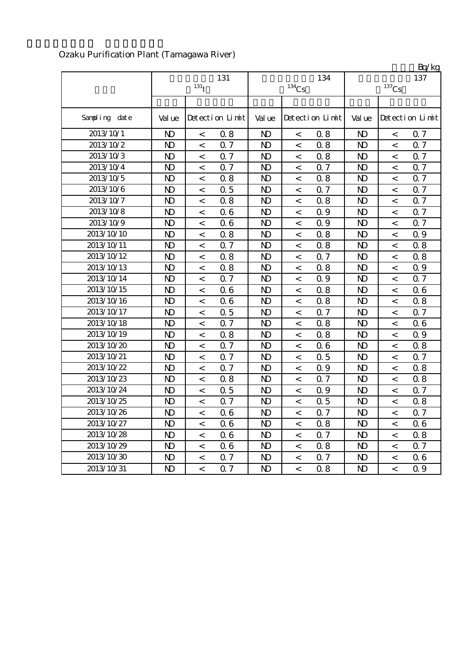|               |                |                          |                 |                |          |                 |                |                          | Bq/kg           |
|---------------|----------------|--------------------------|-----------------|----------------|----------|-----------------|----------------|--------------------------|-----------------|
|               |                | $131$ <sup>T</sup>       | 131             |                | $134$ Cs | 134             |                | $^{137}\mathrm{Cs}$      | 137             |
|               |                |                          |                 |                |          |                 |                |                          |                 |
| Sampling date | Val ue         |                          | Detection Limit | Val ue         |          | Detection Limit | Val ue         |                          | Detection Limit |
| 2013/10/1     | N <sub>D</sub> | $\,<$                    | 0.8             | $\mathbf{D}$   | $\,<$    | 0.8             | $\mathbf{D}$   | $\,<\,$                  | 0.7             |
| 2013/10/2     | N <sub>D</sub> | $\,<$                    | 0.7             | $\mathbf{D}$   | $\,<$    | 0.8             | $\mathbf{D}$   | $\,<$                    | 0.7             |
| 2013/10/3     | $\mathbf{D}$   | $\,<$                    | 0.7             | $\mathbf{D}$   | $\,<$    | 0.8             | $\mathbf{D}$   | $\,<$                    | 0.7             |
| 2013/10/4     | N <sub>D</sub> | $\,<$                    | 0.7             | N <sub>D</sub> | $\,<$    | 0.7             | N <sub>D</sub> | $\,<\,$                  | 0.7             |
| 2013/10/5     | N <sub>D</sub> | $\,<$                    | 0.8             | $\mathbf{D}$   | $\,<$    | 0.8             | $\mathbf{D}$   | $\,<$                    | 0.7             |
| 2013/10/6     | N <sub>D</sub> | $\,<\,$                  | 0.5             | $\mathbf{D}$   | $\,<$    | 0.7             | $\mathbf{D}$   | $\,<\,$                  | 0.7             |
| 2013/10/7     | N <sub>D</sub> | $\,<$                    | 0.8             | N <sub>D</sub> | $\,<$    | 0.8             | $\mathbf{D}$   | $\,<$                    | Q 7             |
| 2013/10/8     | $\mathbf{D}$   | $\,<\,$                  | 06              | $\mathbf{D}$   | $\,<$    | 0.9             | $\mathbf{D}$   | $\,<\,$                  | 0.7             |
| 2013/10/9     | N <sub>D</sub> | $\,<$                    | 06              | N <sub>D</sub> | $\lt$    | 0.9             | N <sub>D</sub> | $\,<$                    | 0.7             |
| 2013/10/10    | N <sub>D</sub> | $\,<\,$                  | 0.8             | N <sub>D</sub> | $\,<$    | 0.8             | $\mathbf{D}$   | $\,<\,$                  | 0.9             |
| 2013/10/11    | N <sub>D</sub> | $\,<\,$                  | 0.7             | N <sub>D</sub> | $\,<$    | 0.8             | $\mathbf{D}$   | $\,<\,$                  | 0.8             |
| 2013/10/12    | $\mathbf{D}$   | $\,<$                    | 0.8             | N <sub>D</sub> | $\,<$    | 0.7             | $\mathbf{D}$   | $\,<$                    | 0.8             |
| 2013/10/13    | N <sub>D</sub> | $\,<$                    | 0.8             | N <sub>D</sub> | $\,<$    | 0.8             | $\mathbf{D}$   | $\,<$                    | 0.9             |
| 2013/10/14    | N <sub>D</sub> | $\,<$                    | 0.7             | $\mathbf{D}$   | $\,<$    | Q 9             | $\mathbf{D}$   | $\,<$                    | 0.7             |
| 2013/10/15    | N <sub>D</sub> | $\,<\,$                  | 06              | N <sub>D</sub> | $\,<$    | 0.8             | $\mathbf{D}$   | $\,<$                    | 06              |
| 2013/10/16    | $\mathbf{D}$   | $\,<$                    | 06              | N <sub>D</sub> | $\,<$    | 0.8             | $\mathbf{D}$   | $\,<\,$                  | 0.8             |
| 2013/10/17    | N <sub>D</sub> | $\,<\,$                  | 0.5             | N <sub>D</sub> | $\,<$    | 0.7             | $\mathbf{D}$   | $\lt$                    | 0.7             |
| 2013/10/18    | N <sub>D</sub> | $\,<$                    | 0.7             | N <sub>D</sub> | $\,<$    | 0.8             | $\mathbf{D}$   | $\,<$                    | 06              |
| 2013/10/19    | N <sub>D</sub> | $\,<\,$                  | 0.8             | $\mathbf{D}$   | $\,<$    | 0.8             | $\mathbf{D}$   | $\,<\,$                  | 0.9             |
| 2013/10/20    | N <sub>D</sub> | $\,<$                    | 0.7             | N <sub>D</sub> | $\,<$    | 0.6             | $\mathbf{D}$   | $\,<\,$                  | 0.8             |
| 2013/10/21    | N <sub>D</sub> | $\,<\,$                  | 0.7             | N <sub>D</sub> | $\,<\,$  | 0.5             | $\mathbf{D}$   | $\,<\,$                  | 0.7             |
| 2013/10/22    | N <sub>D</sub> | $\,<$                    | 0.7             | N <sub>D</sub> | $\lt$    | 0.9             | N <sub>D</sub> | $\lt$                    | 0.8             |
| 2013/10/23    | N <sub>D</sub> | $\,<$                    | 0.8             | N <sub>D</sub> | $\,<$    | 0.7             | N <sub>D</sub> | $\,<$                    | 0.8             |
| 2013/10/24    | N <sub>D</sub> | $\,<$                    | 0.5             | $\mathbf{D}$   | $\,<$    | 0.9             | $\mathbf{D}$   | $\,<$                    | 0.7             |
| 2013/10/25    | N)             | $\,<\,$                  | 0.7             | N <sub>D</sub> | $\,<$    | 0.5             | $\mathbf{D}$   | $\,<$                    | 0.8             |
| 2013/10/26    | N)             | $\,<$                    | 06              | N)             | $\,<$    | 0.7             | N <sub>D</sub> | $\,<\,$                  | 0.7             |
| 2013/10/27    | N <sub>D</sub> | $\overline{\phantom{a}}$ | 06              | N <sub>D</sub> | $\,<\,$  | 0.8             | $\mathbf{D}$   | $\,<\,$                  | 06              |
| 2013/10/28    | $\mathbf{D}$   | $\,<\,$                  | 06              | N)             | $\,<$    | 0.7             | $\mathbf{D}$   | $\,<$                    | 0.8             |
| 2013/10/29    | $\mathbf{D}$   | $\,<$                    | 06              | N <sub>D</sub> | $\,<\,$  | 0.8             | N <sub>D</sub> | $\,<\,$                  | 0.7             |
| 2013/10/30    | N)             | $\,<$                    | 0.7             | $\mathbf{D}$   | $\,<$    | Q 7             | $\mathbf{D}$   | $\,<$                    | 06              |
| 2013/10/31    | $\mathbf{D}$   | $\langle$                | 0.7             | N <sub>D</sub> | $\,<\,$  | 0.8             | N <sub>D</sub> | $\overline{\phantom{a}}$ | 0.9             |

# Ozaku Purification Plant (Tamagawa River)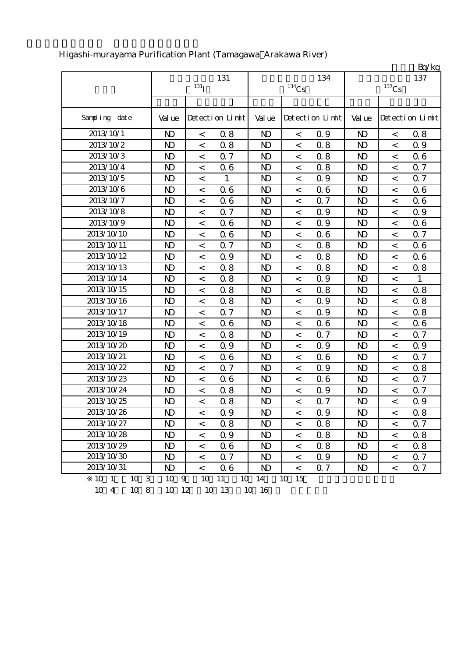|               |                |                          |                 |                |                     |                 |                |                     | Bq/kg           |
|---------------|----------------|--------------------------|-----------------|----------------|---------------------|-----------------|----------------|---------------------|-----------------|
|               |                |                          | 131             |                |                     | 134             |                |                     | 137             |
|               |                | $131$ <sup>T</sup>       |                 |                | $^{134}\mathrm{Cs}$ |                 |                | $^{137}\mathrm{Cs}$ |                 |
|               |                |                          |                 |                |                     |                 |                |                     |                 |
| Sampling date | Val ue         |                          | Detection Limit | Val ue         |                     | Detection Limit | Val ue         |                     | Detection Limit |
| 2013/10/1     | N <sub>D</sub> | $\,<\,$                  | 0.8             | N <sub>D</sub> | $\,<$               | 0.9             | N <sub>D</sub> | $\,<$               | 0.8             |
| 2013/10/2     | $\mathbf{D}$   | $\prec$                  | 0.8             | N <sub>D</sub> | $\lt$               | 0.8             | $\mathbf{D}$   | $\prec$             | 0.9             |
| 2013/10/3     | $\mathbf{D}$   | $\,<$                    | 0.7             | N <sub>D</sub> | $\,<$               | 0.8             | $\mathbf{D}$   | $\,<$               | 06              |
| 2013/10/4     | $\mathbf{D}$   | $\,<\,$                  | 06              | $\mathbf{D}$   | $\,<\,$             | 0.8             | $\mathbf{N}$   | $\,<$               | 0.7             |
| 2013/10/5     | N <sub>D</sub> | $\,<\,$                  | $\mathbf{1}$    | N <sub>D</sub> | $\,<$               | 0.9             | N <sub>D</sub> | $\,<$               | 0.7             |
| 2013/10/6     | N <sub>D</sub> | $\,<\,$                  | 06              | N <sub>D</sub> | $\,<$               | 06              | $\mathbf{D}$   | $\,<$               | 06              |
| 2013/10/7     | N <sub>D</sub> | $\,<\,$                  | 06              | N <sub>D</sub> | $\,<$               | 0.7             | $\mathbf{D}$   | $\,<$               | 06              |
| 2013/10/8     | $\mathbf{D}$   | $\overline{\phantom{0}}$ | 0.7             | N <sub>D</sub> | $\,<$               | 0.9             | N <sub>D</sub> | $\,<$               | 0.9             |
| 2013/10/9     | $\mathbf{D}$   | $\,<\,$                  | 06              | N <sub>D</sub> | $\,<$               | 0.9             | $\mathbf{D}$   | $\,<$               | 06              |
| 2013/10/10    | $\mathbf{D}$   | $\,<\,$                  | 06              | N <sub>D</sub> | $\,<$               | 0.6             | $\mathbf{D}$   | $\prec$             | 0.7             |
| 2013/10/11    | N <sub>D</sub> | $\,<\,$                  | 0.7             | N <sub>D</sub> | $\,<\,$             | 0.8             | $\mathbf{D}$   | $\,<$               | 06              |
| 2013/10/12    | $\mathbf{D}$   | $\,<\,$                  | 0.9             | N <sub>D</sub> | $\,<\,$             | 0.8             | $\mathbf{D}$   | $\,<$               | 06              |
| 2013/10/13    | $\mathbf{D}$   | $\,<\,$                  | 0.8             | N <sub>D</sub> | $\,<$               | 0.8             | $\mathbf{D}$   | $\,<$               | 0.8             |
| 2013/10/14    | N <sub>D</sub> | $\,<\,$                  | 0.8             | N <sub>D</sub> | $\,<\,$             | 0.9             | N <sub>D</sub> | $\,<$               | 1               |
| 2013/10/15    | $\mathbf{D}$   | $\,<\,$                  | 0.8             | N <sub>D</sub> | $\,<$               | 0.8             | $\mathbf{D}$   | $\,<$               | 0.8             |
| 2013/10/16    | $\mathbf{D}$   | $\,<\,$                  | 0.8             | N <sub>D</sub> | $\,<$               | 0.9             | $\mathbf{D}$   | $\,<$               | 0.8             |
| 2013/10/17    | $\mathbf{D}$   | $\,<\,$                  | 0.7             | $\mathbf{D}$   | $\,<\,$             | 0.9             | $\mathbf{D}$   | $\,<\,$             | 0.8             |
| 2013/10/18    | N <sub>D</sub> | $\,<\,$                  | 06              | N <sub>D</sub> | $\,<$               | 0.6             | N <sub>D</sub> | $\,<$               | 06              |
| 2013/10/19    | $\mathbf{D}$   | $\,<\,$                  | 0.8             | N <sub>D</sub> | $\,<\,$             | 0.7             | $\mathbf{D}$   | $\,<\,$             | 0.7             |
| 2013/10/20    | $\mathbf{D}$   | $\,<\,$                  | Q 9             | N <sub>D</sub> | $\,<$               | 0.9             | $\mathbf{D}$   | $\,<$               | 0.9             |
| 2013/10/21    | $\mathbf{D}$   | $\,<$                    | 06              | N <sub>D</sub> | $\,<$               | 0.6             | $\mathbf{D}$   | $\,<$               | 0.7             |
| 2013/10/22    | $\mathbf{D}$   | $\,<\,$                  | Q 7             | N <sub>D</sub> | $\,<\,$             | 0.9             | N <sub>D</sub> | $\,<$               | 0.8             |
| 2013/10/23    | N <sub>D</sub> | $\overline{\phantom{a}}$ | 06              | N <sub>D</sub> | $\,<\,$             | 0.6             | $\mathbf{D}$   | $\prec$             | 0.7             |
| 2013/10/24    | $\mathbf{D}$   | $\,<$                    | 0.8             | N <sub>D</sub> | $\,<$               | 0.9             | $\mathbf{D}$   | $\,<$               | Q 7             |
| 2013/10/25    | $\mathbf{D}$   | $\,<\,$                  | 0.8             | $\mathbf{D}$   | $\,<\,$             | 0.7             | N <sub>D</sub> | $\,<$               | Q 9             |
| 2013/10/26    | $\mathbf{D}$   | $\,<\,$                  | 0.9             | $\mathbf{D}$   | $\,<\,$             | 0.9             | $\mathbf{D}$   | $\,<\,$             | 0.8             |
| 2013/10/27    | ND.            | $\overline{\phantom{a}}$ | 08              | N <sub>D</sub> | $\,<\,$             | 0.8             | N <sub>D</sub> | $\,<\,$             | 0.7             |
| 2013/10/28    | $\mathbf{D}$   | $\,<\,$                  | 0.9             | N <sub>D</sub> | $\,<$               | 0.8             | $\mathbf{D}$   | $\,<\,$             | 0.8             |
| 2013/10/29    | $\mathbf{D}$   | $\,<\,$                  | 06              | N <sub>D</sub> | $\,<\,$             | 0.8             | $\mathbf{D}$   | $\,<$               | 0.8             |
| 2013/10/30    | $\mathbf{D}$   | $\,<\,$                  | 0.7             | N <sub>D</sub> | $\,<\,$             | 0.9             | N)             | $\,<\,$             | 07              |
| 2013/10/31    | ND.            | $\overline{\phantom{0}}$ | 06              | N <sub>D</sub> | $\,<\,$             | 0.7             | N <sub>D</sub> | $\,<\,$             | 0.7             |
| 10 1<br>10 3  | 10 9           | 10                       | 11<br>10        | 14             | 15<br>10            |                 |                |                     |                 |

# Higashi-murayama Purification Plant (Tamagawa Arakawa River)

10 4 10 8 10 12 10 13 10 16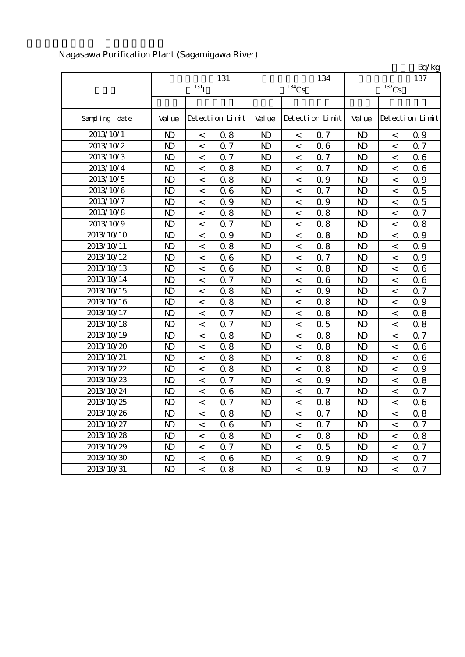|               |                           |         |                 |                |                          |                 |                |                     | Bq/kg           |
|---------------|---------------------------|---------|-----------------|----------------|--------------------------|-----------------|----------------|---------------------|-----------------|
|               | 131<br>$131$ <sup>T</sup> |         |                 |                | $134$ Cs                 | 134             |                | 137                 |                 |
|               |                           |         |                 |                |                          |                 |                | $^{137}\mathrm{Cs}$ |                 |
| Sampling date | Val ue                    |         | Detection Limit | Val ue         |                          | Detection Limit | Val ue         |                     | Detection Limit |
| 2013/10/1     | $\mathbf{D}$              | $\,<$   | 0.8             | N <sub>D</sub> | $\,<$                    | 0.7             | $\mathbf{D}$   | $\,<$               | 0.9             |
| 2013/10/2     | $\mathbf{D}$              | $\,<$   | 0.7             | N <sub>D</sub> | $\,<\,$                  | 0.6             | $\mathbf{D}$   | $\lt$               | 0.7             |
| 2013/10/3     | N <sub>D</sub>            | $\lt$   | 0.7             | N <sub>D</sub> | $\,<\,$                  | 0.7             | N <sub>D</sub> | $\,<$               | 06              |
| 2013/10/4     | $\mathbf{D}$              | $\,<\,$ | 0.8             | N <sub>D</sub> | $\,<$                    | 0.7             | N <sub>D</sub> | $\,<\,$             | 06              |
| 2013/10/5     | $\mathbf{D}$              | $\,<\,$ | 0.8             | $\mathbf{D}$   | $\,<\,$                  | 0.9             | $\mathbf{D}$   | $\,<\,$             | Q 9             |
| 2013/10/6     | N <sub>D</sub>            | $\,<\,$ | 06              | N <sub>D</sub> | $\,<\,$                  | 0.7             | N <sub>D</sub> | $\,<\,$             | 0.5             |
| 2013/10/7     | N <sub>D</sub>            | $\,<$   | 0.9             | N <sub>D</sub> | $\,<\,$                  | 0.9             | N <sub>D</sub> | $\,<$               | 0.5             |
| 2013/10/8     | $\mathbf{D}$              | $\,<$   | 0.8             | N <sub>D</sub> | $\,<\,$                  | 0.8             | N <sub>D</sub> | $\,<$               | 0.7             |
| 2013/10/9     | $\mathbf{D}$              | $\,<$   | 0.7             | N <sub>D</sub> | $\,<$                    | 0.8             | N <sub>D</sub> | $\,<$               | 0.8             |
| 2013/10/10    | $\mathbf{D}$              | $\,<$   | 0.9             | N <sub>D</sub> | $\,<\,$                  | 0.8             | N <sub>D</sub> | $\,<\,$             | 0.9             |
| 2013/10/11    | N <sub>D</sub>            | $\,<$   | 0.8             | N <sub>D</sub> | $\,<\,$                  | 0.8             | $\mathbf{D}$   | $\,<$               | 0.9             |
| 2013/10/12    | N <sub>D</sub>            | $\,<$   | 06              | N <sub>D</sub> | $\,<$                    | 0.7             | N <sub>D</sub> | $\,<$               | 0.9             |
| 2013/10/13    | $\mathbf{D}$              | $\,<$   | 06              | N <sub>D</sub> | $\,<\,$                  | 0.8             | $\mathbf{D}$   | $\,<$               | 06              |
| 2013/10/14    | $\mathbf{D}$              | $\,<$   | 0.7             | N <sub>D</sub> | $\,<$                    | 0.6             | N <sub>D</sub> | $\,<\,$             | 06              |
| 2013/10/15    | N <sub>D</sub>            | $\,<$   | 0.8             | N <sub>D</sub> | $\,<\,$                  | 0.9             | $\mathbf{D}$   | $\lt$               | 0.7             |
| 2013/10/16    | N <sub>D</sub>            | $\,<$   | 0.8             | N <sub>D</sub> | $\,<\,$                  | 0.8             | N <sub>D</sub> | $\lt$               | Q 9             |
| 2013/10/17    | $\mathbf{D}$              | $\,<$   | 0.7             | $\mathbf{D}$   | $\,<$                    | 0.8             | N <sub>D</sub> | $\,<\,$             | 0.8             |
| 2013/10/18    | $\mathbf{D}$              | $\,<\,$ | 0.7             | N <sub>D</sub> | $\,<\,$                  | 0.5             | $\mathbf{D}$   | $\,<\,$             | 0.8             |
| 2013/10/19    | N <sub>D</sub>            | $\,<$   | 0.8             | N <sub>D</sub> | $\,<\,$                  | 0.8             | N <sub>D</sub> | $\lt$               | 0.7             |
| 2013/10/20    | N <sub>D</sub>            | $\,<\,$ | 0.8             | N <sub>D</sub> | $\,<$                    | 0.8             | N <sub>D</sub> | $\,<\,$             | 06              |
| 2013/10/21    | $\mathbf{D}$              | $\,<\,$ | 0.8             | N <sub>D</sub> | $\,<\,$                  | 0.8             | N <sub>D</sub> | $\,<$               | 06              |
| 2013/10/22    | N <sub>D</sub>            | $\,<$   | 0.8             | N <sub>D</sub> | $\,<$                    | 0.8             | $\mathbf{D}$   | $\,<$               | 0.9             |
| 2013/10/23    | $\mathbf{D}$              | $\,<$   | 0.7             | N <sub>D</sub> | $\,<\,$                  | 0.9             | N <sub>D</sub> | $\,<\,$             | 0.8             |
| 2013/10/24    | N <sub>D</sub>            | $\,<$   | 06              | N <sub>D</sub> | $\,<$                    | 0.7             | N <sub>D</sub> | $\,<\,$             | Q 7             |
| 2013/10/25    | N <sub>D</sub>            | $\,<$   | 0.7             | N <sub>D</sub> | $\,<$                    | 0.8             | N <sub>D</sub> | $\,<$               | 06              |
| 2013/10/26    | $\mathbf{D}$              | $\,<$   | 0.8             | $\mathbf{D}$   | $\,<$                    | 0.7             | N <sub>D</sub> | $\,<\,$             | 0.8             |
| 2013/10/27    | N)                        | $\,<\,$ | 06              | $\mathbf{D}$   | $\overline{\phantom{a}}$ | 0.7             | ND.            | $\,<\,$             | 0.7             |
| 2013/10/28    | $\mathbf{D}$              | $\,<\,$ | 0.8             | $\mathbf{D}$   | $\overline{\phantom{a}}$ | 0.8             | $\mathbf{D}$   | $\,<\,$             | 0.8             |
| 2013/10/29    | $\mathbf{D}$              | $\,<\,$ | 0.7             | N <sub>D</sub> | $\,<\,$                  | 0.5             | N <sub>D</sub> | $\,<\,$             | 0.7             |
| 2013/10/30    | $\mathbf{D}$              | $\,<\,$ | 06              | N <sub>D</sub> | $\,<$                    | 0.9             | $\mathbf{D}$   | $\,<\,$             | 0.7             |
| 2013/10/31    | $\mathbf{D}$              | $\,<\,$ | 0.8             | $\mathbf{D}$   | $\,<\,$                  | 0.9             | N <sub>D</sub> | $\,<\,$             | 0.7             |

Nagasawa Purification Plant (Sagamigawa River)